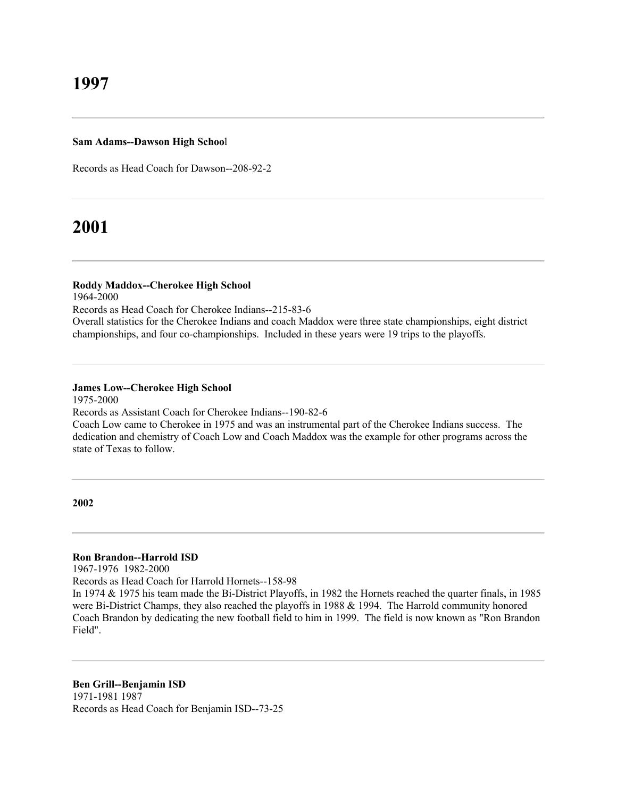#### **Sam Adams--Dawson High Schoo**l

Records as Head Coach for Dawson--208-92-2

# **2001**

## **Roddy Maddox--Cherokee High School**

1964-2000

Records as Head Coach for Cherokee Indians--215-83-6

Overall statistics for the Cherokee Indians and coach Maddox were three state championships, eight district championships, and four co-championships. Included in these years were 19 trips to the playoffs.

# **James Low--Cherokee High School**

1975-2000

Records as Assistant Coach for Cherokee Indians--190-82-6 Coach Low came to Cherokee in 1975 and was an instrumental part of the Cherokee Indians success. The dedication and chemistry of Coach Low and Coach Maddox was the example for other programs across the state of Texas to follow.

**2002**

## **Ron Brandon--Harrold ISD**

1967-1976 1982-2000

Records as Head Coach for Harrold Hornets--158-98

In 1974 & 1975 his team made the Bi-District Playoffs, in 1982 the Hornets reached the quarter finals, in 1985 were Bi-District Champs, they also reached the playoffs in 1988 & 1994. The Harrold community honored Coach Brandon by dedicating the new football field to him in 1999. The field is now known as "Ron Brandon Field".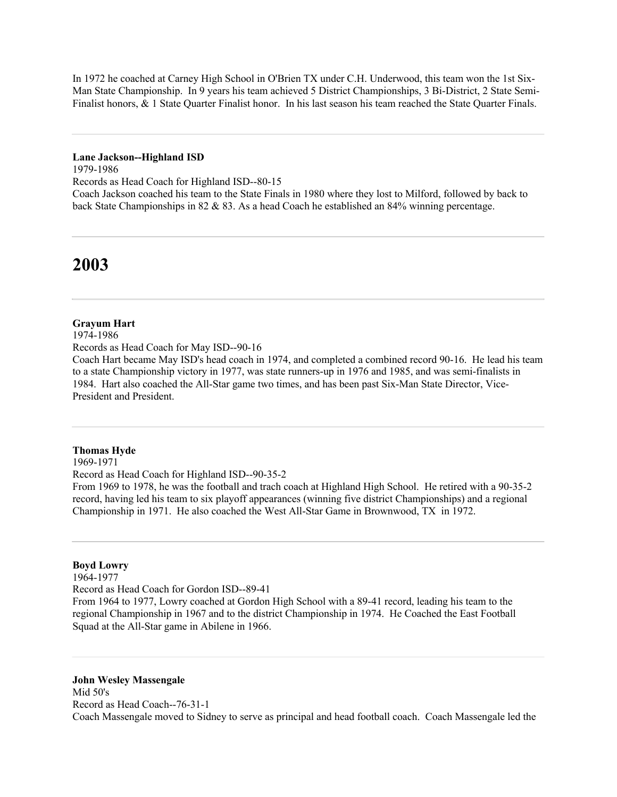In 1972 he coached at Carney High School in O'Brien TX under C.H. Underwood, this team won the 1st Six-Man State Championship. In 9 years his team achieved 5 District Championships, 3 Bi-District, 2 State Semi-Finalist honors, & 1 State Quarter Finalist honor. In his last season his team reached the State Quarter Finals.

#### **Lane Jackson--Highland ISD**

1979-1986

Records as Head Coach for Highland ISD--80-15

Coach Jackson coached his team to the State Finals in 1980 where they lost to Milford, followed by back to back State Championships in 82 & 83. As a head Coach he established an 84% winning percentage.

# **2003**

## **Grayum Hart**

1974-1986

Records as Head Coach for May ISD--90-16

Coach Hart became May ISD's head coach in 1974, and completed a combined record 90-16. He lead his team to a state Championship victory in 1977, was state runners-up in 1976 and 1985, and was semi-finalists in 1984. Hart also coached the All-Star game two times, and has been past Six-Man State Director, Vice-President and President.

### **Thomas Hyde**

1969-1971

Record as Head Coach for Highland ISD--90-35-2

From 1969 to 1978, he was the football and trach coach at Highland High School. He retired with a 90-35-2 record, having led his team to six playoff appearances (winning five district Championships) and a regional Championship in 1971. He also coached the West All-Star Game in Brownwood, TX in 1972.

## **Boyd Lowry**

1964-1977

Record as Head Coach for Gordon ISD--89-41

From 1964 to 1977, Lowry coached at Gordon High School with a 89-41 record, leading his team to the regional Championship in 1967 and to the district Championship in 1974. He Coached the East Football Squad at the All-Star game in Abilene in 1966.

**John Wesley Massengale** Mid 50's Record as Head Coach--76-31-1 Coach Massengale moved to Sidney to serve as principal and head football coach. Coach Massengale led the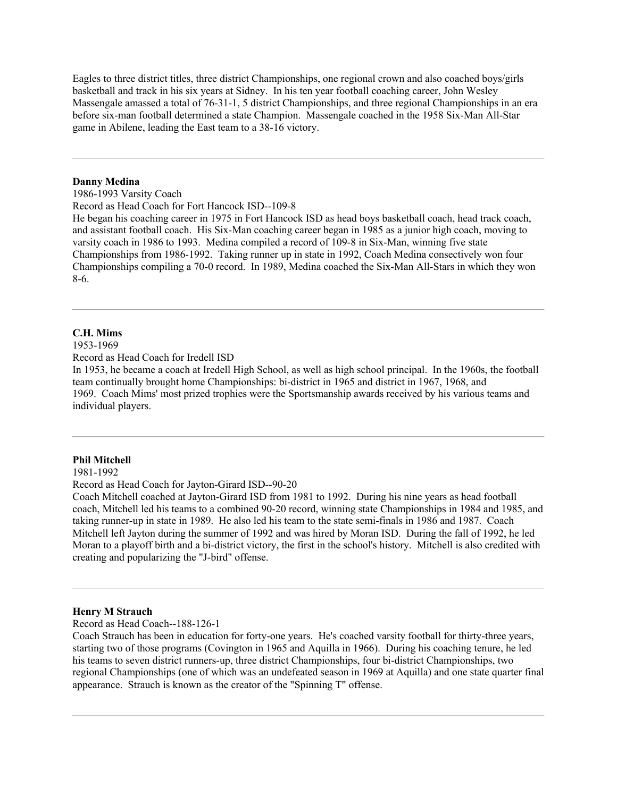Eagles to three district titles, three district Championships, one regional crown and also coached boys/girls basketball and track in his six years at Sidney. In his ten year football coaching career, John Wesley Massengale amassed a total of 76-31-1, 5 district Championships, and three regional Championships in an era before six-man football determined a state Champion. Massengale coached in the 1958 Six-Man All-Star game in Abilene, leading the East team to a 38-16 victory.

#### **Danny Medina**

1986-1993 Varsity Coach

Record as Head Coach for Fort Hancock ISD--109-8

He began his coaching career in 1975 in Fort Hancock ISD as head boys basketball coach, head track coach, and assistant football coach. His Six-Man coaching career began in 1985 as a junior high coach, moving to varsity coach in 1986 to 1993. Medina compiled a record of 109-8 in Six-Man, winning five state Championships from 1986-1992. Taking runner up in state in 1992, Coach Medina consectively won four Championships compiling a 70-0 record. In 1989, Medina coached the Six-Man All-Stars in which they won 8-6.

## **C.H. Mims**

1953-1969

Record as Head Coach for Iredell ISD

In 1953, he became a coach at Iredell High School, as well as high school principal. In the 1960s, the football team continually brought home Championships: bi-district in 1965 and district in 1967, 1968, and 1969. Coach Mims' most prized trophies were the Sportsmanship awards received by his various teams and individual players.

#### **Phil Mitchell**

1981-1992

Record as Head Coach for Jayton-Girard ISD--90-20

Coach Mitchell coached at Jayton-Girard ISD from 1981 to 1992. During his nine years as head football coach, Mitchell led his teams to a combined 90-20 record, winning state Championships in 1984 and 1985, and taking runner-up in state in 1989. He also led his team to the state semi-finals in 1986 and 1987. Coach Mitchell left Jayton during the summer of 1992 and was hired by Moran ISD. During the fall of 1992, he led Moran to a playoff birth and a bi-district victory, the first in the school's history. Mitchell is also credited with creating and popularizing the "J-bird" offense.

#### **Henry M Strauch**

Record as Head Coach--188-126-1

Coach Strauch has been in education for forty-one years. He's coached varsity football for thirty-three years, starting two of those programs (Covington in 1965 and Aquilla in 1966). During his coaching tenure, he led his teams to seven district runners-up, three district Championships, four bi-district Championships, two regional Championships (one of which was an undefeated season in 1969 at Aquilla) and one state quarter final appearance. Strauch is known as the creator of the "Spinning T" offense.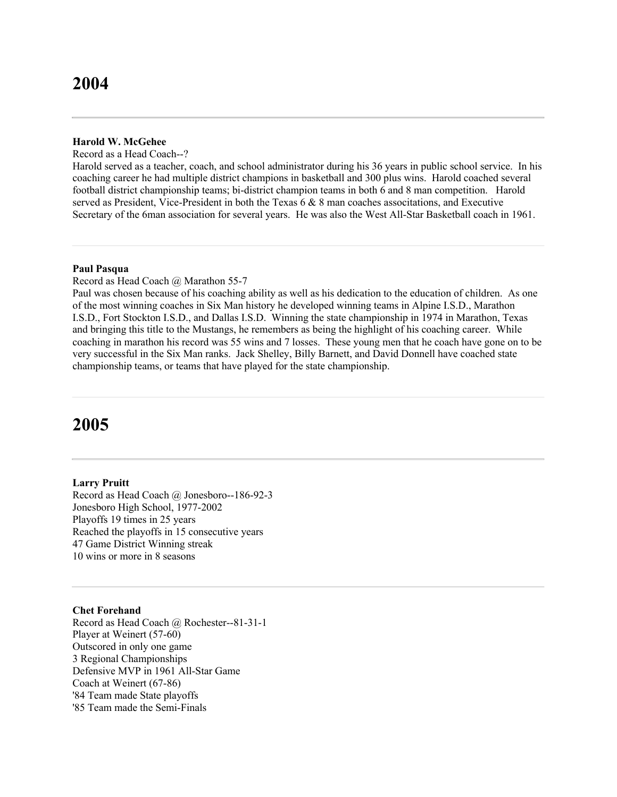### **Harold W. McGehee**

Record as a Head Coach--?

Harold served as a teacher, coach, and school administrator during his 36 years in public school service. In his coaching career he had multiple district champions in basketball and 300 plus wins. Harold coached several football district championship teams; bi-district champion teams in both 6 and 8 man competition. Harold served as President, Vice-President in both the Texas 6 & 8 man coaches associtations, and Executive Secretary of the 6man association for several years. He was also the West All-Star Basketball coach in 1961.

#### **Paul Pasqua**

Record as Head Coach @ Marathon 55-7

Paul was chosen because of his coaching ability as well as his dedication to the education of children. As one of the most winning coaches in Six Man history he developed winning teams in Alpine I.S.D., Marathon I.S.D., Fort Stockton I.S.D., and Dallas I.S.D. Winning the state championship in 1974 in Marathon, Texas and bringing this title to the Mustangs, he remembers as being the highlight of his coaching career. While coaching in marathon his record was 55 wins and 7 losses. These young men that he coach have gone on to be very successful in the Six Man ranks. Jack Shelley, Billy Barnett, and David Donnell have coached state championship teams, or teams that have played for the state championship.

# **2005**

#### **Larry Pruitt**

Record as Head Coach @ Jonesboro--186-92-3 Jonesboro High School, 1977-2002 Playoffs 19 times in 25 years Reached the playoffs in 15 consecutive years 47 Game District Winning streak 10 wins or more in 8 seasons

#### **Chet Forehand**

Record as Head Coach @ Rochester--81-31-1 Player at Weinert (57-60) Outscored in only one game 3 Regional Championships Defensive MVP in 1961 All-Star Game Coach at Weinert (67-86) '84 Team made State playoffs '85 Team made the Semi-Finals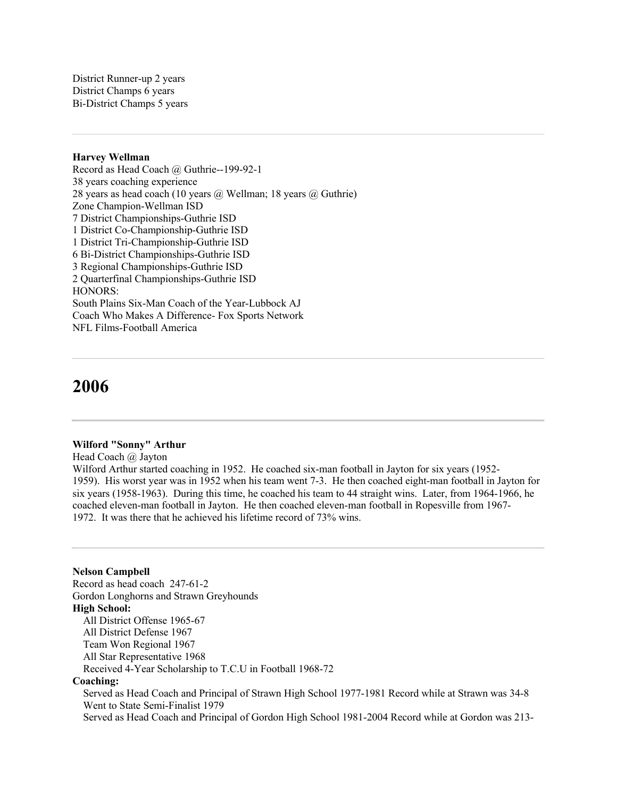District Runner-up 2 years District Champs 6 years Bi-District Champs 5 years

#### **Harvey Wellman**

Record as Head Coach @ Guthrie--199-92-1 38 years coaching experience 28 years as head coach (10 years @ Wellman; 18 years @ Guthrie) Zone Champion-Wellman ISD 7 District Championships-Guthrie ISD 1 District Co-Championship-Guthrie ISD 1 District Tri-Championship-Guthrie ISD 6 Bi-District Championships-Guthrie ISD 3 Regional Championships-Guthrie ISD 2 Quarterfinal Championships-Guthrie ISD HONORS: South Plains Six-Man Coach of the Year-Lubbock AJ Coach Who Makes A Difference- Fox Sports Network NFL Films-Football America

# **2006**

## **Wilford "Sonny" Arthur**

Head Coach @ Jayton

Wilford Arthur started coaching in 1952. He coached six-man football in Jayton for six years (1952- 1959). His worst year was in 1952 when his team went 7-3. He then coached eight-man football in Jayton for six years (1958-1963). During this time, he coached his team to 44 straight wins. Later, from 1964-1966, he coached eleven-man football in Jayton. He then coached eleven-man football in Ropesville from 1967- 1972. It was there that he achieved his lifetime record of 73% wins.

### **Nelson Campbell**

Record as head coach 247-61-2 Gordon Longhorns and Strawn Greyhounds **High School:** All District Offense 1965-67 All District Defense 1967 Team Won Regional 1967 All Star Representative 1968 Received 4-Year Scholarship to T.C.U in Football 1968-72 **Coaching:** Served as Head Coach and Principal of Strawn High School 1977-1981 Record while at Strawn was 34-8

 Went to State Semi-Finalist 1979 Served as Head Coach and Principal of Gordon High School 1981-2004 Record while at Gordon was 213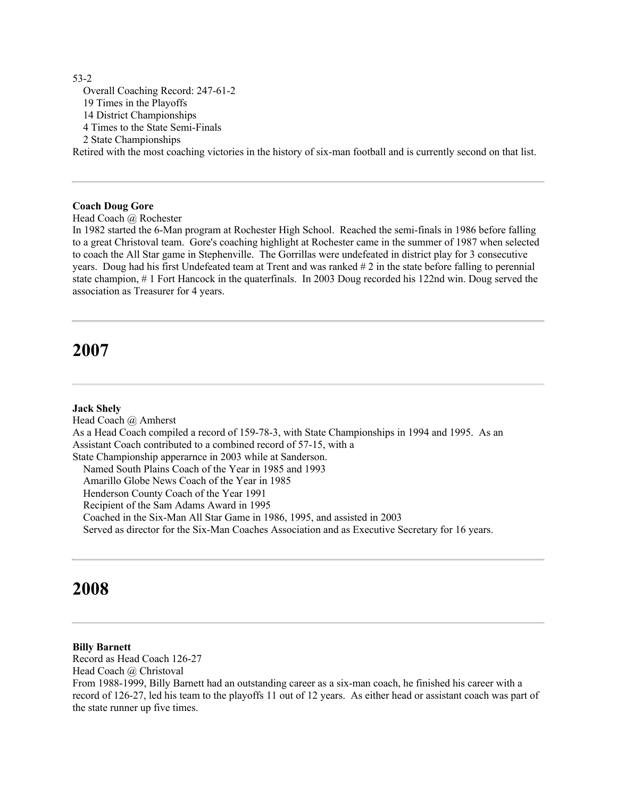53-2 Overall Coaching Record: 247-61-2 19 Times in the Playoffs 14 District Championships 4 Times to the State Semi-Finals 2 State Championships Retired with the most coaching victories in the history of six-man football and is currently second on that list.

**Coach Doug Gore**

Head Coach @ Rochester

In 1982 started the 6-Man program at Rochester High School. Reached the semi-finals in 1986 before falling to a great Christoval team. Gore's coaching highlight at Rochester came in the summer of 1987 when selected to coach the All Star game in Stephenville. The Gorrillas were undefeated in district play for 3 consecutive years. Doug had his first Undefeated team at Trent and was ranked # 2 in the state before falling to perennial state champion, # 1 Fort Hancock in the quaterfinals. In 2003 Doug recorded his 122nd win. Doug served the association as Treasurer for 4 years.

# **2007**

#### **Jack Shely**

Head Coach @ Amherst As a Head Coach compiled a record of 159-78-3, with State Championships in 1994 and 1995. As an Assistant Coach contributed to a combined record of 57-15, with a State Championship apperarnce in 2003 while at Sanderson. Named South Plains Coach of the Year in 1985 and 1993 Amarillo Globe News Coach of the Year in 1985 Henderson County Coach of the Year 1991 Recipient of the Sam Adams Award in 1995 Coached in the Six-Man All Star Game in 1986, 1995, and assisted in 2003 Served as director for the Six-Man Coaches Association and as Executive Secretary for 16 years.

# **2008**

### **Billy Barnett**

Record as Head Coach 126-27 Head Coach @ Christoval From 1988-1999, Billy Barnett had an outstanding career as a six-man coach, he finished his career with a record of 126-27, led his team to the playoffs 11 out of 12 years. As either head or assistant coach was part of the state runner up five times.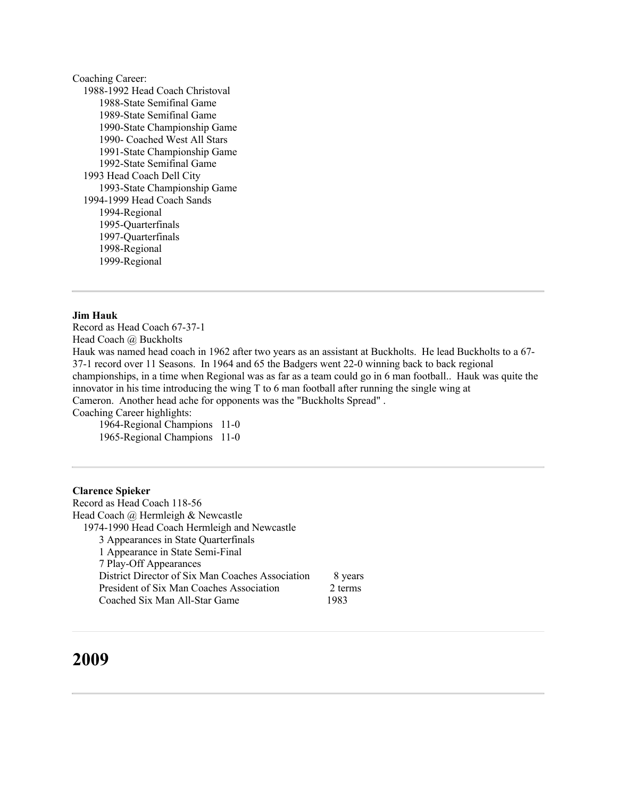Coaching Career: 1988-1992 Head Coach Christoval 1988-State Semifinal Game 1989-State Semifinal Game 1990-State Championship Game 1990- Coached West All Stars 1991-State Championship Game 1992-State Semifinal Game 1993 Head Coach Dell City 1993-State Championship Game 1994-1999 Head Coach Sands 1994-Regional 1995-Quarterfinals 1997-Quarterfinals 1998-Regional 1999-Regional

## **Jim Hauk**

Record as Head Coach 67-37-1 Head Coach @ Buckholts Hauk was named head coach in 1962 after two years as an assistant at Buckholts. He lead Buckholts to a 67- 37-1 record over 11 Seasons. In 1964 and 65 the Badgers went 22-0 winning back to back regional championships, in a time when Regional was as far as a team could go in 6 man football.. Hauk was quite the innovator in his time introducing the wing T to 6 man football after running the single wing at Cameron. Another head ache for opponents was the "Buckholts Spread" . Coaching Career highlights:

 1964-Regional Champions 11-0 1965-Regional Champions 11-0

#### **Clarence Spieker**

Record as Head Coach 118-56 Head Coach @ Hermleigh & Newcastle 1974-1990 Head Coach Hermleigh and Newcastle 3 Appearances in State Quarterfinals 1 Appearance in State Semi-Final 7 Play-Off Appearances District Director of Six Man Coaches Association 8 years President of Six Man Coaches Association 2 terms Coached Six Man All-Star Game 1983

# **2009**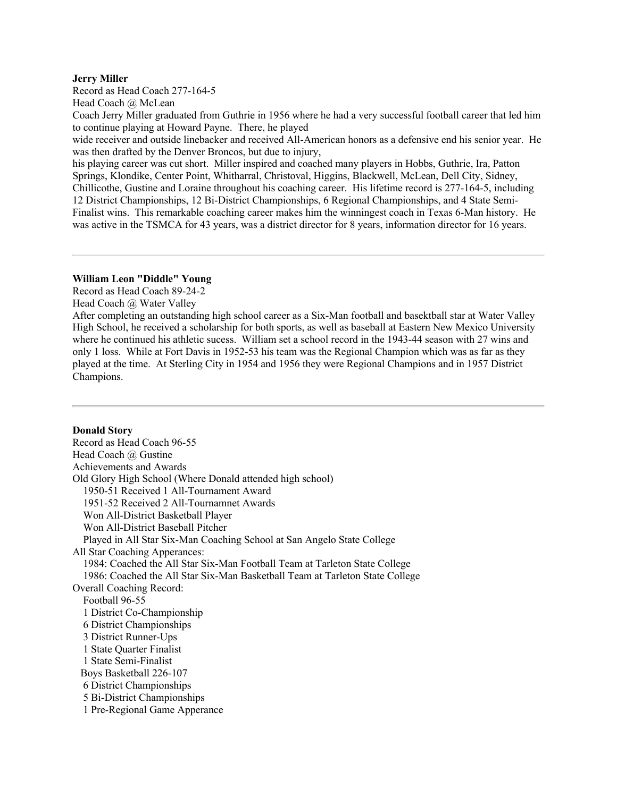#### **Jerry Miller**

Record as Head Coach 277-164-5

Head Coach @ McLean

Coach Jerry Miller graduated from Guthrie in 1956 where he had a very successful football career that led him to continue playing at Howard Payne. There, he played

wide receiver and outside linebacker and received All-American honors as a defensive end his senior year. He was then drafted by the Denver Broncos, but due to injury,

his playing career was cut short. Miller inspired and coached many players in Hobbs, Guthrie, Ira, Patton Springs, Klondike, Center Point, Whitharral, Christoval, Higgins, Blackwell, McLean, Dell City, Sidney, Chillicothe, Gustine and Loraine throughout his coaching career. His lifetime record is 277-164-5, including 12 District Championships, 12 Bi-District Championships, 6 Regional Championships, and 4 State Semi-Finalist wins. This remarkable coaching career makes him the winningest coach in Texas 6-Man history. He was active in the TSMCA for 43 years, was a district director for 8 years, information director for 16 years.

### **William Leon "Diddle" Young**

Record as Head Coach 89-24-2

Head Coach @ Water Valley

After completing an outstanding high school career as a Six-Man football and basektball star at Water Valley High School, he received a scholarship for both sports, as well as baseball at Eastern New Mexico University where he continued his athletic sucess. William set a school record in the 1943-44 season with 27 wins and only 1 loss. While at Fort Davis in 1952-53 his team was the Regional Champion which was as far as they played at the time. At Sterling City in 1954 and 1956 they were Regional Champions and in 1957 District Champions.

## **Donald Story**

Record as Head Coach 96-55 Head Coach @ Gustine Achievements and Awards Old Glory High School (Where Donald attended high school) 1950-51 Received 1 All-Tournament Award 1951-52 Received 2 All-Tournamnet Awards Won All-District Basketball Player Won All-District Baseball Pitcher Played in All Star Six-Man Coaching School at San Angelo State College All Star Coaching Apperances: 1984: Coached the All Star Six-Man Football Team at Tarleton State College 1986: Coached the All Star Six-Man Basketball Team at Tarleton State College Overall Coaching Record: Football 96-55 1 District Co-Championship 6 District Championships 3 District Runner-Ups 1 State Quarter Finalist 1 State Semi-Finalist Boys Basketball 226-107 6 District Championships 5 Bi-District Championships 1 Pre-Regional Game Apperance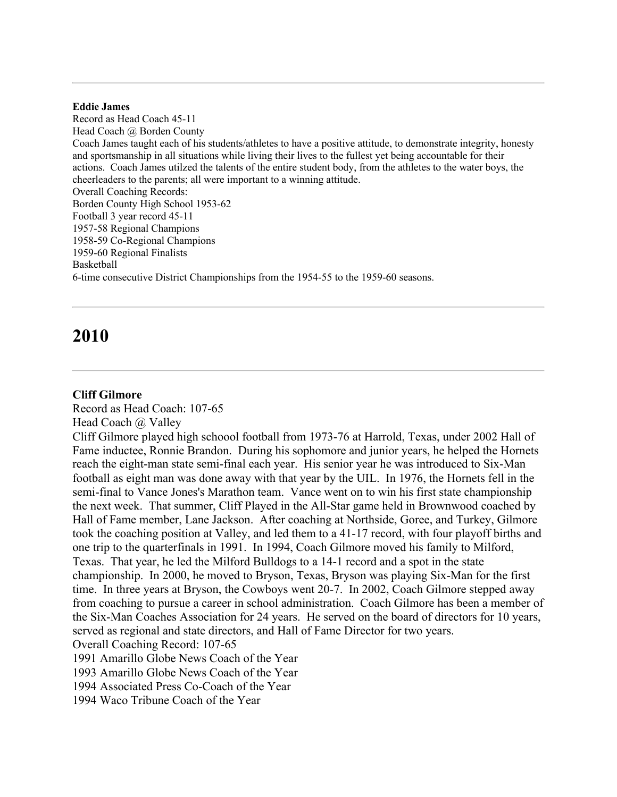### **Eddie James**

Record as Head Coach 45-11 Head Coach @ Borden County Coach James taught each of his students/athletes to have a positive attitude, to demonstrate integrity, honesty and sportsmanship in all situations while living their lives to the fullest yet being accountable for their actions. Coach James utilzed the talents of the entire student body, from the athletes to the water boys, the cheerleaders to the parents; all were important to a winning attitude. Overall Coaching Records: Borden County High School 1953-62 Football 3 year record 45-11 1957-58 Regional Champions 1958-59 Co-Regional Champions 1959-60 Regional Finalists Basketball 6-time consecutive District Championships from the 1954-55 to the 1959-60 seasons.

# **2010**

### **Cliff Gilmore**

Record as Head Coach: 107-65

Head Coach @ Valley

Cliff Gilmore played high schoool football from 1973-76 at Harrold, Texas, under 2002 Hall of Fame inductee, Ronnie Brandon. During his sophomore and junior years, he helped the Hornets reach the eight-man state semi-final each year. His senior year he was introduced to Six-Man football as eight man was done away with that year by the UIL. In 1976, the Hornets fell in the semi-final to Vance Jones's Marathon team. Vance went on to win his first state championship the next week. That summer, Cliff Played in the All-Star game held in Brownwood coached by Hall of Fame member, Lane Jackson. After coaching at Northside, Goree, and Turkey, Gilmore took the coaching position at Valley, and led them to a 41-17 record, with four playoff births and one trip to the quarterfinals in 1991. In 1994, Coach Gilmore moved his family to Milford, Texas. That year, he led the Milford Bulldogs to a 14-1 record and a spot in the state championship. In 2000, he moved to Bryson, Texas, Bryson was playing Six-Man for the first time. In three years at Bryson, the Cowboys went 20-7. In 2002, Coach Gilmore stepped away from coaching to pursue a career in school administration. Coach Gilmore has been a member of the Six-Man Coaches Association for 24 years. He served on the board of directors for 10 years, served as regional and state directors, and Hall of Fame Director for two years.

Overall Coaching Record: 107-65

1991 Amarillo Globe News Coach of the Year

1993 Amarillo Globe News Coach of the Year

1994 Associated Press Co-Coach of the Year

1994 Waco Tribune Coach of the Year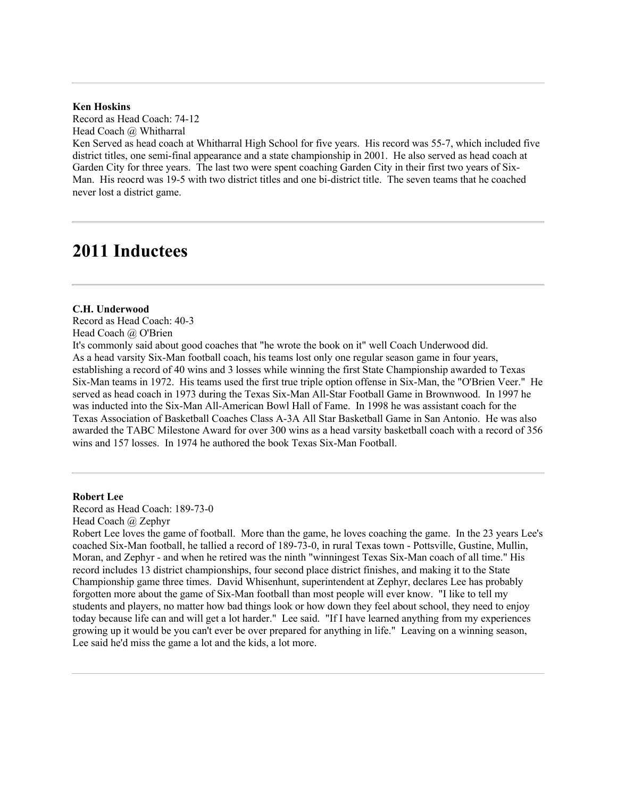### **Ken Hoskins**

Record as Head Coach: 74-12 Head Coach @ Whitharral

Ken Served as head coach at Whitharral High School for five years. His record was 55-7, which included five district titles, one semi-final appearance and a state championship in 2001. He also served as head coach at Garden City for three years. The last two were spent coaching Garden City in their first two years of Six-Man. His reocrd was 19-5 with two district titles and one bi-district title. The seven teams that he coached never lost a district game.

# **2011 Inductees**

#### **C.H. Underwood**

Record as Head Coach: 40-3 Head Coach @ O'Brien

It's commonly said about good coaches that "he wrote the book on it" well Coach Underwood did. As a head varsity Six-Man football coach, his teams lost only one regular season game in four years, establishing a record of 40 wins and 3 losses while winning the first State Championship awarded to Texas Six-Man teams in 1972. His teams used the first true triple option offense in Six-Man, the "O'Brien Veer." He served as head coach in 1973 during the Texas Six-Man All-Star Football Game in Brownwood. In 1997 he was inducted into the Six-Man All-American Bowl Hall of Fame. In 1998 he was assistant coach for the Texas Association of Basketball Coaches Class A-3A All Star Basketball Game in San Antonio. He was also awarded the TABC Milestone Award for over 300 wins as a head varsity basketball coach with a record of 356 wins and 157 losses. In 1974 he authored the book Texas Six-Man Football.

#### **Robert Lee**

Record as Head Coach: 189-73-0 Head Coach @ Zephyr

Robert Lee loves the game of football. More than the game, he loves coaching the game. In the 23 years Lee's coached Six-Man football, he tallied a record of 189-73-0, in rural Texas town - Pottsville, Gustine, Mullin, Moran, and Zephyr - and when he retired was the ninth "winningest Texas Six-Man coach of all time." His record includes 13 district championships, four second place district finishes, and making it to the State Championship game three times. David Whisenhunt, superintendent at Zephyr, declares Lee has probably forgotten more about the game of Six-Man football than most people will ever know. "I like to tell my students and players, no matter how bad things look or how down they feel about school, they need to enjoy today because life can and will get a lot harder." Lee said. "If I have learned anything from my experiences growing up it would be you can't ever be over prepared for anything in life." Leaving on a winning season, Lee said he'd miss the game a lot and the kids, a lot more.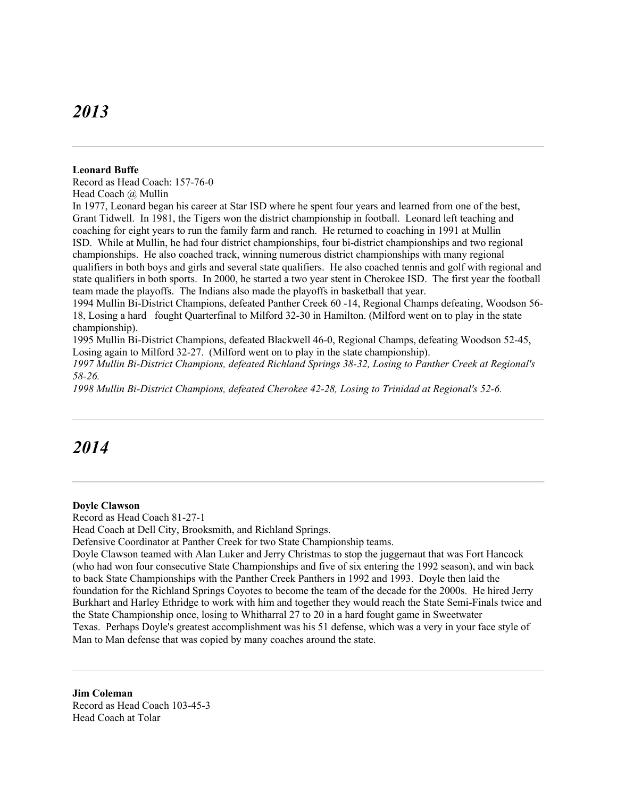# *2013*

#### **Leonard Buffe**

Record as Head Coach: 157-76-0 Head Coach @ Mullin

In 1977, Leonard began his career at Star ISD where he spent four years and learned from one of the best, Grant Tidwell. In 1981, the Tigers won the district championship in football. Leonard left teaching and coaching for eight years to run the family farm and ranch. He returned to coaching in 1991 at Mullin ISD. While at Mullin, he had four district championships, four bi-district championships and two regional championships. He also coached track, winning numerous district championships with many regional qualifiers in both boys and girls and several state qualifiers. He also coached tennis and golf with regional and state qualifiers in both sports. In 2000, he started a two year stent in Cherokee ISD. The first year the football team made the playoffs. The Indians also made the playoffs in basketball that year.

1994 Mullin Bi-District Champions, defeated Panther Creek 60 -14, Regional Champs defeating, Woodson 56- 18, Losing a hard fought Quarterfinal to Milford 32-30 in Hamilton. (Milford went on to play in the state championship).

1995 Mullin Bi-District Champions, defeated Blackwell 46-0, Regional Champs, defeating Woodson 52-45, Losing again to Milford 32-27. (Milford went on to play in the state championship).

*1997 Mullin Bi-District Champions, defeated Richland Springs 38-32, Losing to Panther Creek at Regional's 58-26.*

*1998 Mullin Bi-District Champions, defeated Cherokee 42-28, Losing to Trinidad at Regional's 52-6.*

# *2014*

### **Doyle Clawson**

Record as Head Coach 81-27-1

Head Coach at Dell City, Brooksmith, and Richland Springs.

Defensive Coordinator at Panther Creek for two State Championship teams.

Doyle Clawson teamed with Alan Luker and Jerry Christmas to stop the juggernaut that was Fort Hancock (who had won four consecutive State Championships and five of six entering the 1992 season), and win back to back State Championships with the Panther Creek Panthers in 1992 and 1993. Doyle then laid the foundation for the Richland Springs Coyotes to become the team of the decade for the 2000s. He hired Jerry Burkhart and Harley Ethridge to work with him and together they would reach the State Semi-Finals twice and the State Championship once, losing to Whitharral 27 to 20 in a hard fought game in Sweetwater Texas. Perhaps Doyle's greatest accomplishment was his 51 defense, which was a very in your face style of Man to Man defense that was copied by many coaches around the state.

**Jim Coleman** Record as Head Coach 103-45-3 Head Coach at Tolar